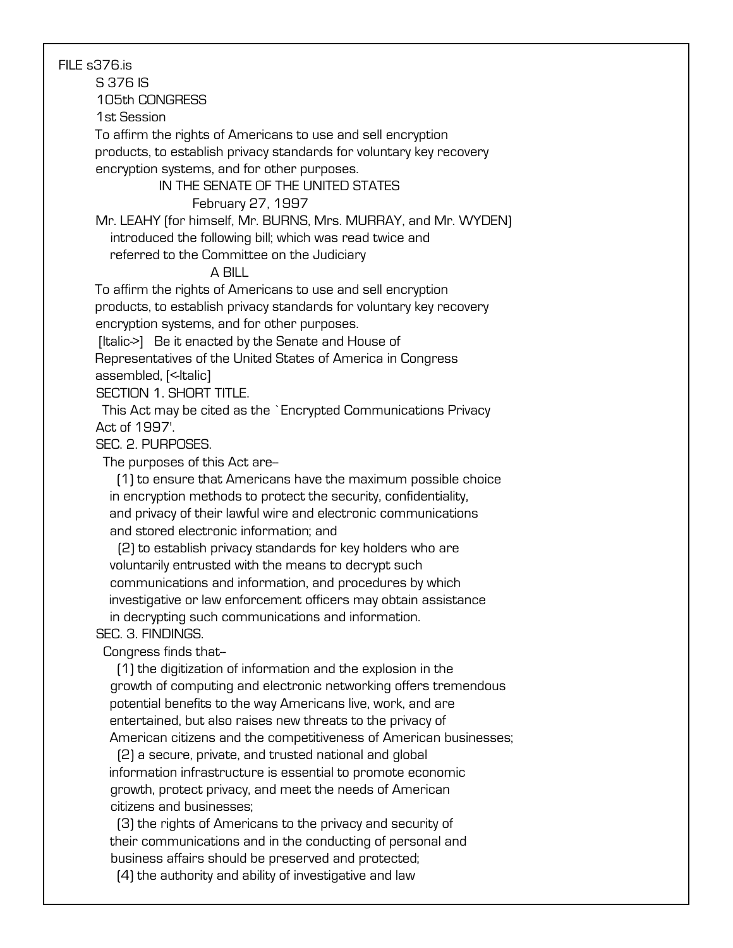FILE s376.is

S 376 IS

#### 105th CONGRESS

1st Session

To affirm the rights of Americans to use and sell encryption

 products, to establish privacy standards for voluntary key recovery encryption systems, and for other purposes.

### IN THE SENATE OF THE UNITED STATES

#### February 27, 1997

 Mr. LEAHY (for himself, Mr. BURNS, Mrs. MURRAY, and Mr. WYDEN) introduced the following bill; which was read twice and

referred to the Committee on the Judiciary

# A BILL

 To affirm the rights of Americans to use and sell encryption products, to establish privacy standards for voluntary key recovery encryption systems, and for other purposes.

[Italic->] Be it enacted by the Senate and House of

 Representatives of the United States of America in Congress assembled, [<- Italic]

SECTION 1. SHORT TITLE.

 This Act may be cited as the `Encrypted Communications Privacy Act of 1997'.

SEC. 2. PURPOSES.

The purposes of this Act are--

 (1) to ensure that Americans have the maximum possible choice in encryption methods to protect the security, confidentiality, and privacy of their lawful wire and electronic communications and stored electronic information; and

 (2) to establish privacy standards for key holders who are voluntarily entrusted with the means to decrypt such communications and information, and procedures by which investigative or law enforcement officers may obtain assistance in decrypting such communications and information.

## SEC. 3. FINDINGS.

Congress finds that--

 (1) the digitization of information and the explosion in the growth of computing and electronic networking offers tremendous potential benefits to the way Americans live, work, and are entertained, but also raises new threats to the privacy of American citizens and the competitiveness of American businesses;

 (2) a secure, private, and trusted national and global information infrastructure is essential to promote economic growth, protect privacy, and meet the needs of American citizens and businesses;

 (3) the rights of Americans to the privacy and security of their communications and in the conducting of personal and business affairs should be preserved and protected;

(4) the authority and ability of investigative and law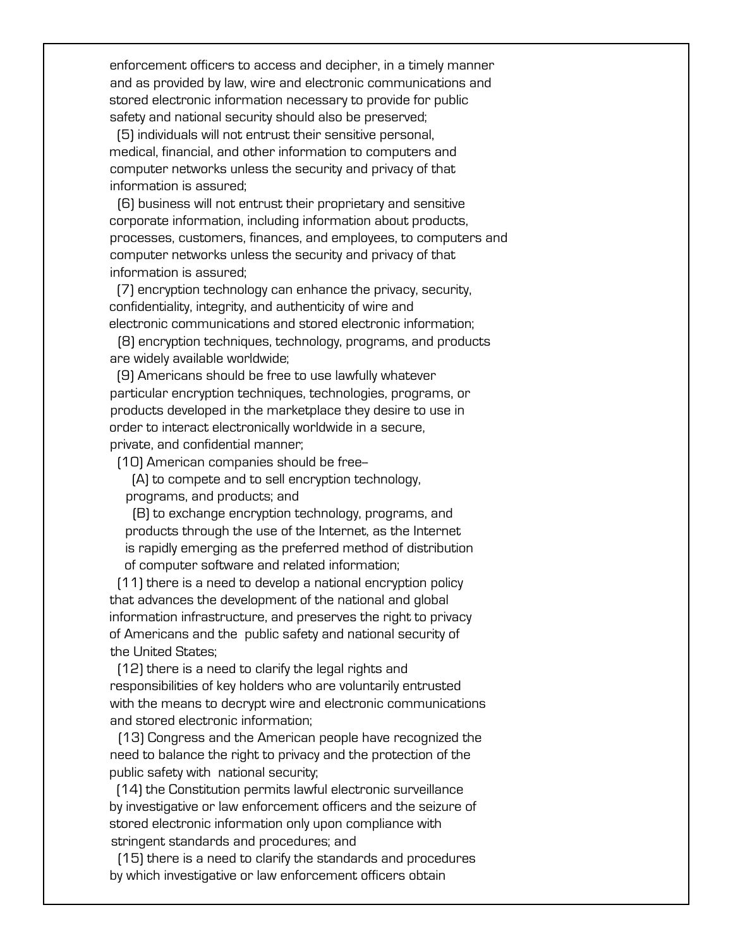enforcement officers to access and decipher, in a timely manner and as provided by law, wire and electronic communications and stored electronic information necessary to provide for public safety and national security should also be preserved;

 (5) individuals will not entrust their sensitive personal, medical, financial, and other information to computers and computer networks unless the security and privacy of that information is assured;

 (6) business will not entrust their proprietary and sensitive corporate information, including information about products, processes, customers, finances, and employees, to computers and computer networks unless the security and privacy of that information is assured;

 (7) encryption technology can enhance the privacy, security, confidentiality, integrity, and authenticity of wire and electronic communications and stored electronic information;

 (8) encryption techniques, technology, programs, and products are widely available worldwide;

 (9) Americans should be free to use lawfully whatever particular encryption techniques, technologies, programs, or products developed in the marketplace they desire to use in order to interact electronically worldwide in a secure, private, and confidential manner;

(10) American companies should be free--

 (A) to compete and to sell encryption technology, programs, and products; and

 (B) to exchange encryption technology, programs, and products through the use of the Internet, as the Internet is rapidly emerging as the preferred method of distribution of computer software and related information;

 (11) there is a need to develop a national encryption policy that advances the development of the national and global information infrastructure, and preserves the right to privacy of Americans and the public safety and national security of the United States;

 (12) there is a need to clarify the legal rights and responsibilities of key holders who are voluntarily entrusted with the means to decrypt wire and electronic communications and stored electronic information;

 (13) Congress and the American people have recognized the need to balance the right to privacy and the protection of the public safety with national security;

 (14) the Constitution permits lawful electronic surveillance by investigative or law enforcement officers and the seizure of stored electronic information only upon compliance with stringent standards and procedures; and

 (15) there is a need to clarify the standards and procedures by which investigative or law enforcement officers obtain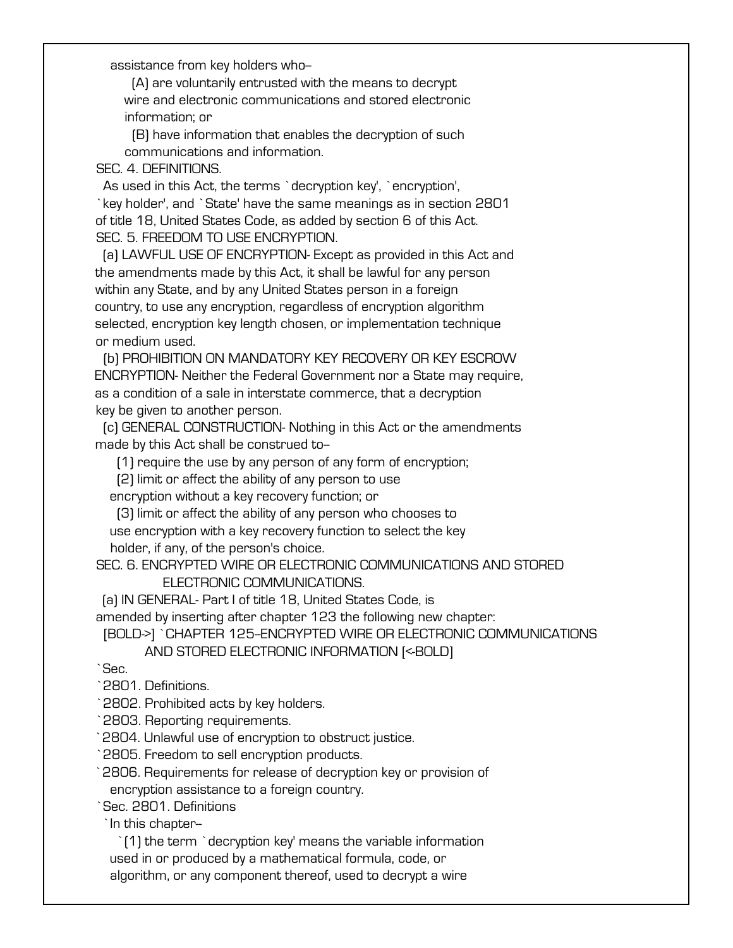assistance from key holders who--

 (A) are voluntarily entrusted with the means to decrypt wire and electronic communications and stored electronic information; or

 (B) have information that enables the decryption of such communications and information.

SEC. 4. DEFINITIONS.

 As used in this Act, the terms `decryption key', `encryption', `key holder', and `State' have the same meanings as in section 2801 of title 18, United States Code, as added by section 6 of this Act. SEC. 5. FREEDOM TO USE ENCRYPTION.

 (a) LAWFUL USE OF ENCRYPTION- Except as provided in this Act and the amendments made by this Act, it shall be lawful for any person within any State, and by any United States person in a foreign country, to use any encryption, regardless of encryption algorithm selected, encryption key length chosen, or implementation technique or medium used.

 (b) PROHIBITION ON MANDATORY KEY RECOVERY OR KEY ESCROW ENCRYPTION- Neither the Federal Government nor a State may require, as a condition of a sale in interstate commerce, that a decryption key be given to another person.

 (c) GENERAL CONSTRUCTION- Nothing in this Act or the amendments made by this Act shall be construed to--

(1) require the use by any person of any form of encryption;

(2) limit or affect the ability of any person to use

encryption without a key recovery function; or

 (3) limit or affect the ability of any person who chooses to use encryption with a key recovery function to select the key holder, if any, of the person's choice.

 SEC. 6. ENCRYPTED WIRE OR ELECTRONIC COMMUNICATIONS AND STORED ELECTRONIC COMMUNICATIONS.

 (a) IN GENERAL- Part I of title 18, United States Code, is amended by inserting after chapter 123 the following new chapter:

[BOLD->] `CHAPTER 125-ENCRYPTED WIRE OR ELECTRONIC COMMUNICATIONS AND STORED ELECTRONIC INFORMATION [<-BOLD]

`Sec.

`2801. Definitions.

`2802. Prohibited acts by key holders.

`2803. Reporting requirements.

`2804. Unlawful use of encryption to obstruct justice.

`2805. Freedom to sell encryption products.

 `2806. Requirements for release of decryption key or provision of encryption assistance to a foreign country.

`Sec. 2801. Definitions

`In this chapter--

 `(1) the term `decryption key' means the variable information used in or produced by a mathematical formula, code, or algorithm, or any component thereof, used to decrypt a wire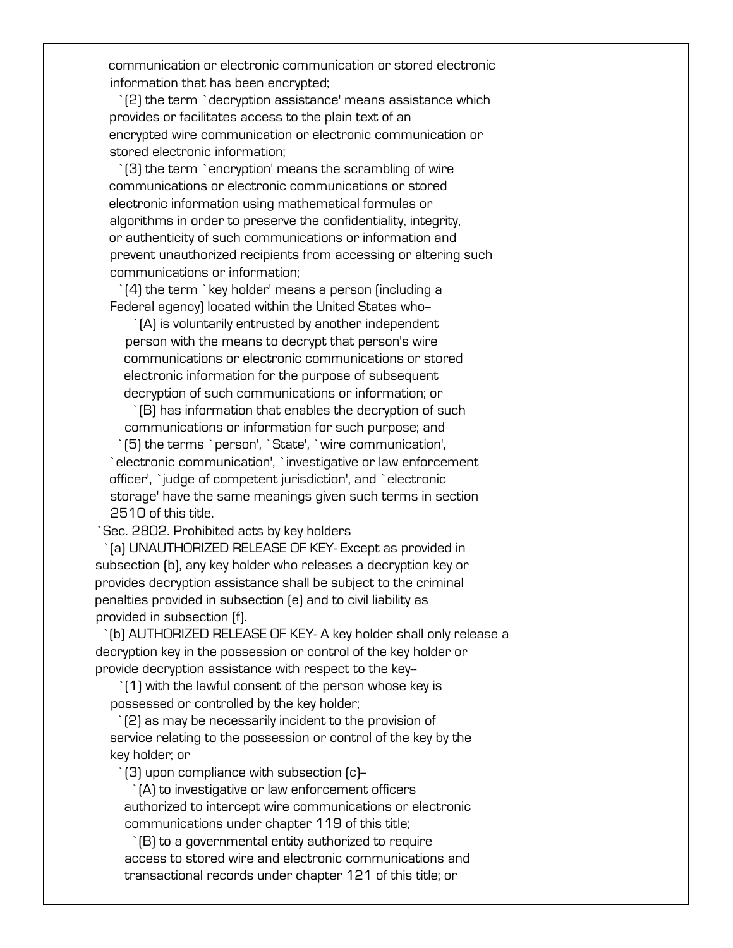communication or electronic communication or stored electronic information that has been encrypted;

 `(2) the term `decryption assistance' means assistance which provides or facilitates access to the plain text of an encrypted wire communication or electronic communication or stored electronic information;

 `(3) the term `encryption' means the scrambling of wire communications or electronic communications or stored electronic information using mathematical formulas or algorithms in order to preserve the confidentiality, integrity, or authenticity of such communications or information and prevent unauthorized recipients from accessing or altering such communications or information;

 `(4) the term `key holder' means a person (including a Federal agency) located within the United States who--

 `(A) is voluntarily entrusted by another independent person with the means to decrypt that person's wire communications or electronic communications or stored electronic information for the purpose of subsequent decryption of such communications or information; or

 `(B) has information that enables the decryption of such communications or information for such purpose; and `(5) the terms `person', `State', `wire communication', `electronic communication', `investigative or law enforcement officer', `judge of competent jurisdiction', and `electronic storage' have the same meanings given such terms in section 2510 of this title.

`Sec. 2802. Prohibited acts by key holders

 `(a) UNAUTHORIZED RELEASE OF KEY- Except as provided in subsection (b), any key holder who releases a decryption key or provides decryption assistance shall be subject to the criminal penalties provided in subsection (e) and to civil liability as provided in subsection (f).

 `(b) AUTHORIZED RELEASE OF KEY- A key holder shall only release a decryption key in the possession or control of the key holder or provide decryption assistance with respect to the key--

 `(1) with the lawful consent of the person whose key is possessed or controlled by the key holder;

 `(2) as may be necessarily incident to the provision of service relating to the possession or control of the key by the key holder; or

`(3) upon compliance with subsection (c)--

 `(A) to investigative or law enforcement officers authorized to intercept wire communications or electronic communications under chapter 119 of this title;

 `(B) to a governmental entity authorized to require access to stored wire and electronic communications and transactional records under chapter 121 of this title; or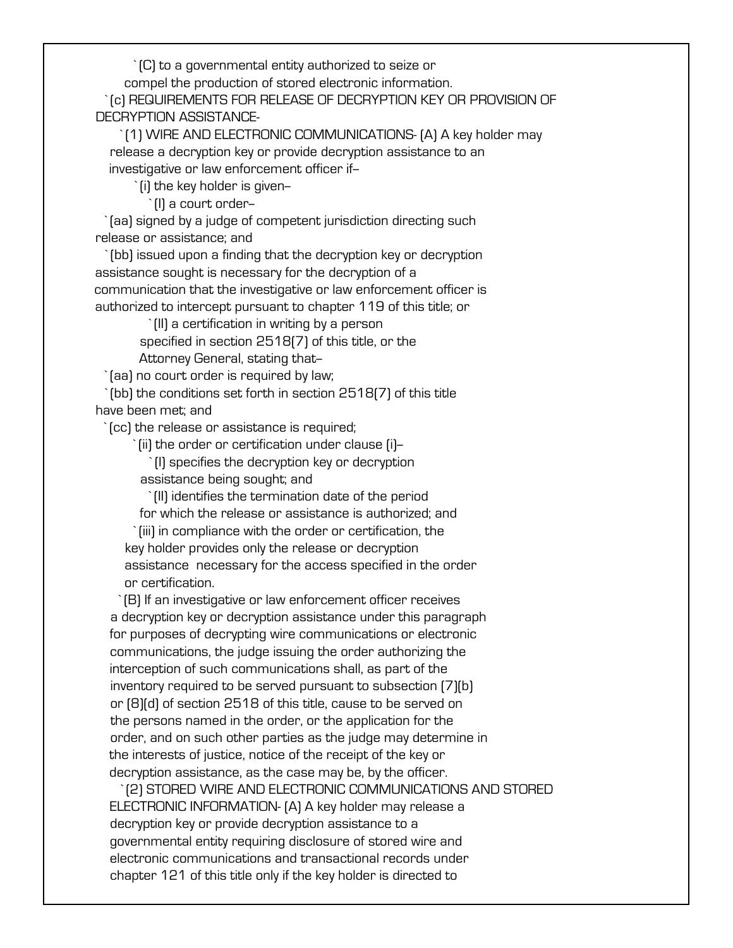`(C) to a governmental entity authorized to seize or

compel the production of stored electronic information.

 `(c) REQUIREMENTS FOR RELEASE OF DECRYPTION KEY OR PROVISION OF DECRYPTION ASSISTANCE-

 `(1) WIRE AND ELECTRONIC COMMUNICATIONS- (A) A key holder may release a decryption key or provide decryption assistance to an investigative or law enforcement officer if--

`(i) the key holder is given--

`(I) a court order--

 `(aa) signed by a judge of competent jurisdiction directing such release or assistance; and

 `(bb) issued upon a finding that the decryption key or decryption assistance sought is necessary for the decryption of a communication that the investigative or law enforcement officer is authorized to intercept pursuant to chapter 119 of this title; or

 `(II) a certification in writing by a person specified in section 2518(7) of this title, or the Attorney General, stating that-

`(aa) no court order is required by law;

 `(bb) the conditions set forth in section 2518(7) of this title have been met; and

`(cc) the release or assistance is required;

`(ii) the order or certification under clause (i)--

 `(I) specifies the decryption key or decryption assistance being sought; and

`(II) identifies the termination date of the period

for which the release or assistance is authorized; and

 `(iii) in compliance with the order or certification, the key holder provides only the release or decryption assistance necessary for the access specified in the order or certification.

 `(B) If an investigative or law enforcement officer receives a decryption key or decryption assistance under this paragraph for purposes of decrypting wire communications or electronic communications, the judge issuing the order authorizing the interception of such communications shall, as part of the inventory required to be served pursuant to subsection (7)(b) or (8)(d) of section 2518 of this title, cause to be served on the persons named in the order, or the application for the order, and on such other parties as the judge may determine in the interests of justice, notice of the receipt of the key or decryption assistance, as the case may be, by the officer.

 `(2) STORED WIRE AND ELECTRONIC COMMUNICATIONS AND STORED ELECTRONIC INFORMATION- (A) A key holder may release a decryption key or provide decryption assistance to a governmental entity requiring disclosure of stored wire and electronic communications and transactional records under chapter 121 of this title only if the key holder is directed to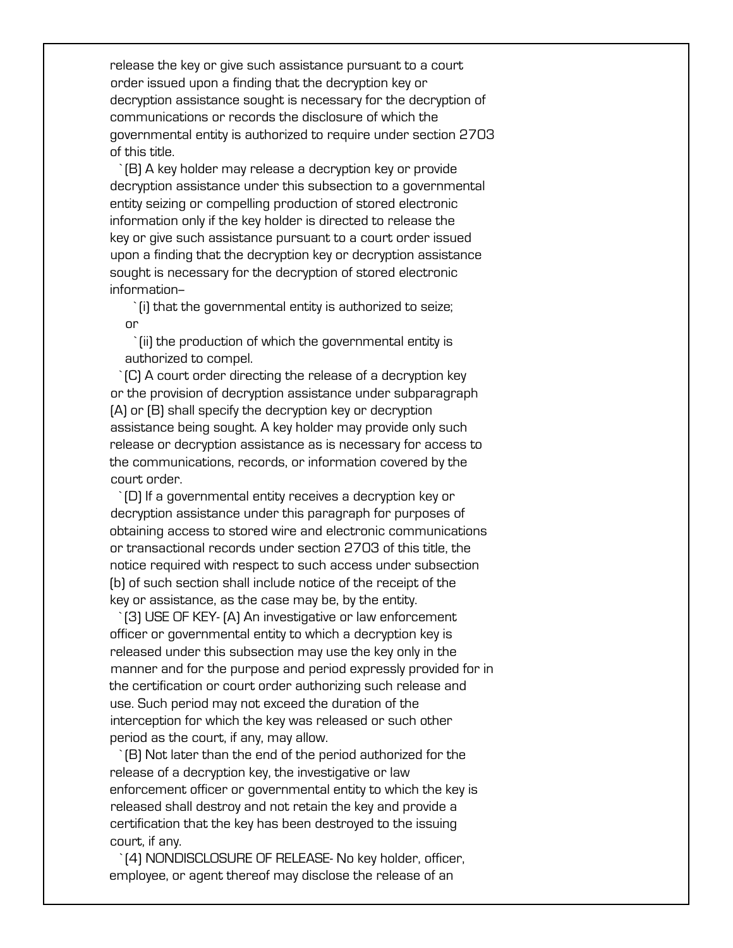release the key or give such assistance pursuant to a court order issued upon a finding that the decryption key or decryption assistance sought is necessary for the decryption of communications or records the disclosure of which the governmental entity is authorized to require under section 2703 of this title.

 `(B) A key holder may release a decryption key or provide decryption assistance under this subsection to a governmental entity seizing or compelling production of stored electronic information only if the key holder is directed to release the key or give such assistance pursuant to a court order issued upon a finding that the decryption key or decryption assistance sought is necessary for the decryption of stored electronic information--

 `(i) that the governmental entity is authorized to seize; or

 `(ii) the production of which the governmental entity is authorized to compel.

 `(C) A court order directing the release of a decryption key or the provision of decryption assistance under subparagraph (A) or (B) shall specify the decryption key or decryption assistance being sought. A key holder may provide only such release or decryption assistance as is necessary for access to the communications, records, or information covered by the court order.

 `(D) If a governmental entity receives a decryption key or decryption assistance under this paragraph for purposes of obtaining access to stored wire and electronic communications or transactional records under section 2703 of this title, the notice required with respect to such access under subsection (b) of such section shall include notice of the receipt of the key or assistance, as the case may be, by the entity.

 `(3) USE OF KEY- (A) An investigative or law enforcement officer or governmental entity to which a decryption key is released under this subsection may use the key only in the manner and for the purpose and period expressly provided for in the certification or court order authorizing such release and use. Such period may not exceed the duration of the interception for which the key was released or such other period as the court, if any, may allow.

 `(B) Not later than the end of the period authorized for the release of a decryption key, the investigative or law enforcement officer or governmental entity to which the key is released shall destroy and not retain the key and provide a certification that the key has been destroyed to the issuing court, if any.

 `(4) NONDISCLOSURE OF RELEASE- No key holder, officer, employee, or agent thereof may disclose the release of an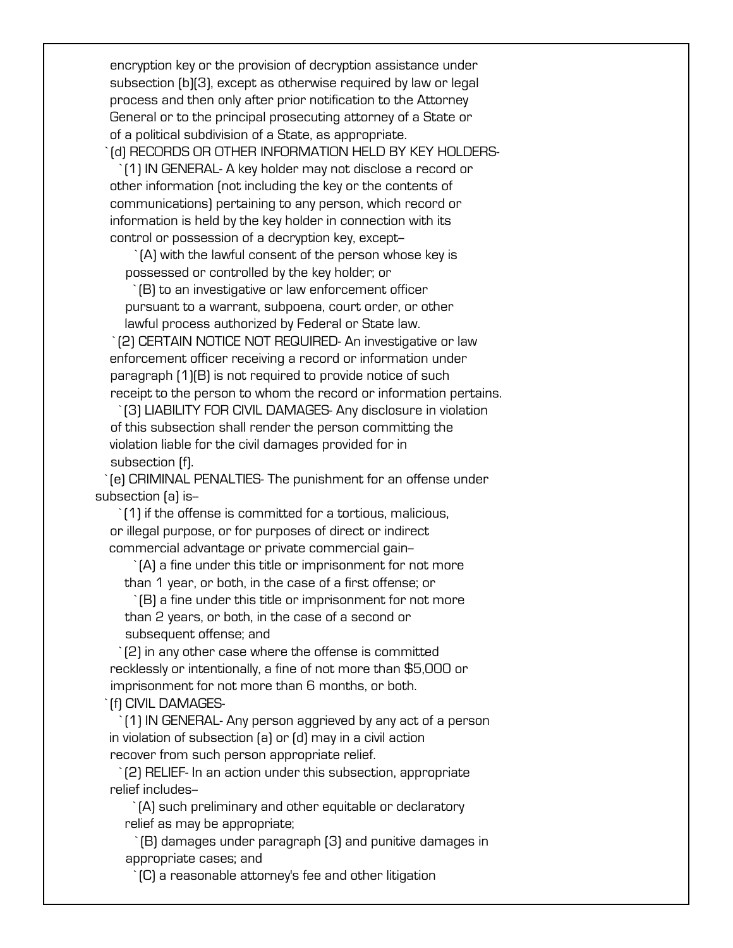encryption key or the provision of decryption assistance under subsection (b)(3), except as otherwise required by law or legal process and then only after prior notification to the Attorney General or to the principal prosecuting attorney of a State or of a political subdivision of a State, as appropriate. `(d) RECORDS OR OTHER INFORMATION HELD BY KEY HOLDERS-

 `(1) IN GENERAL- A key holder may not disclose a record or other information (not including the key or the contents of communications) pertaining to any person, which record or information is held by the key holder in connection with its control or possession of a decryption key, except-

 `(A) with the lawful consent of the person whose key is possessed or controlled by the key holder; or

 `(B) to an investigative or law enforcement officer pursuant to a warrant, subpoena, court order, or other lawful process authorized by Federal or State law.

 `(2) CERTAIN NOTICE NOT REQUIRED- An investigative or law enforcement officer receiving a record or information under paragraph (1)(B) is not required to provide notice of such receipt to the person to whom the record or information pertains.

 `(3) LIABILITY FOR CIVIL DAMAGES- Any disclosure in violation of this subsection shall render the person committing the violation liable for the civil damages provided for in subsection (f).

 `(e) CRIMINAL PENALTIES- The punishment for an offense under subsection (a) is--

 `(1) if the offense is committed for a tortious, malicious, or illegal purpose, or for purposes of direct or indirect commercial advantage or private commercial gain--

 `(A) a fine under this title or imprisonment for not more than 1 year, or both, in the case of a first offense; or

 `(B) a fine under this title or imprisonment for not more than 2 years, or both, in the case of a second or

subsequent offense; and

 `(2) in any other case where the offense is committed recklessly or intentionally, a fine of not more than \$5,000 or imprisonment for not more than 6 months, or both.

`(f) CIVIL DAMAGES-

 `(1) IN GENERAL- Any person aggrieved by any act of a person in violation of subsection (a) or (d) may in a civil action recover from such person appropriate relief.

 `(2) RELIEF- In an action under this subsection, appropriate relief includes--

 `(A) such preliminary and other equitable or declaratory relief as may be appropriate;

 `(B) damages under paragraph (3) and punitive damages in appropriate cases; and

`(C) a reasonable attorney's fee and other litigation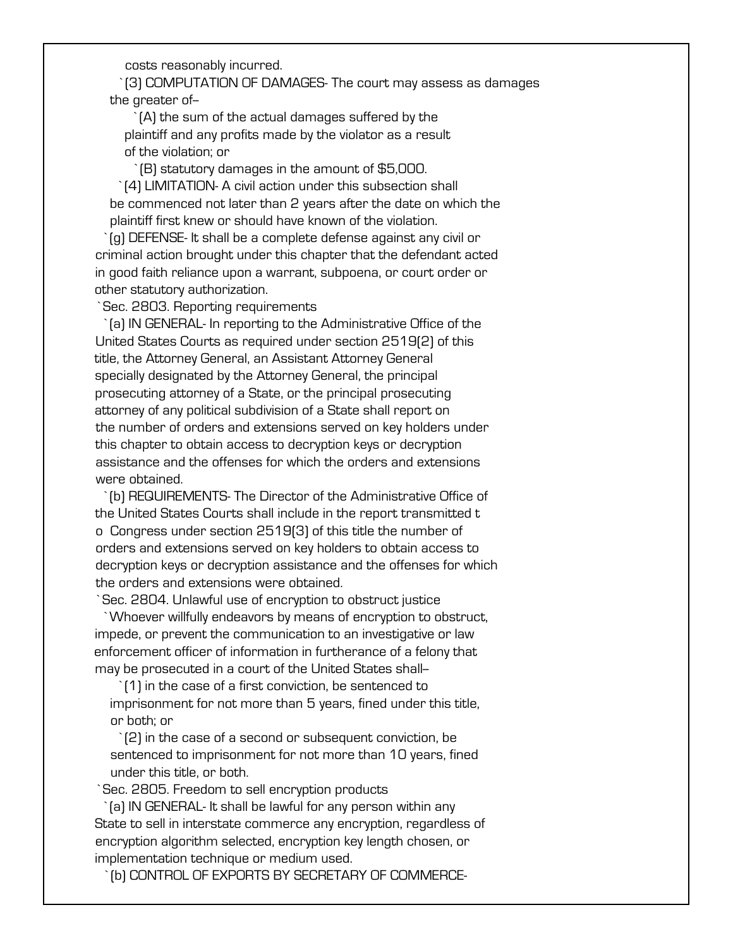costs reasonably incurred.

 `(3) COMPUTATION OF DAMAGES- The court may assess as damages the greater of-

 `(A) the sum of the actual damages suffered by the plaintiff and any profits made by the violator as a result of the violation; or

`(B) statutory damages in the amount of \$5,000.

 `(4) LIMITATION- A civil action under this subsection shall be commenced not later than 2 years after the date on which the plaintiff first knew or should have known of the violation.

 `(g) DEFENSE- It shall be a complete defense against any civil or criminal action brought under this chapter that the defendant acted in good faith reliance upon a warrant, subpoena, or court order or other statutory authorization.

`Sec. 2803. Reporting requirements

 `(a) IN GENERAL- In reporting to the Administrative Office of the United States Courts as required under section 2519(2) of this title, the Attorney General, an Assistant Attorney General specially designated by the Attorney General, the principal prosecuting attorney of a State, or the principal prosecuting attorney of any political subdivision of a State shall report on the number of orders and extensions served on key holders under this chapter to obtain access to decryption keys or decryption assistance and the offenses for which the orders and extensions were obtained.

 `(b) REQUIREMENTS- The Director of the Administrative Office of the United States Courts shall include in the report transmitted t o Congress under section 2519(3) of this title the number of orders and extensions served on key holders to obtain access to decryption keys or decryption assistance and the offenses for which the orders and extensions were obtained.

`Sec. 2804. Unlawful use of encryption to obstruct justice

 `Whoever willfully endeavors by means of encryption to obstruct, impede, or prevent the communication to an investigative or law enforcement officer of information in furtherance of a felony that may be prosecuted in a court of the United States shall--

 `(1) in the case of a first conviction, be sentenced to imprisonment for not more than 5 years, fined under this title, or both; or

 `(2) in the case of a second or subsequent conviction, be sentenced to imprisonment for not more than 10 years, fined under this title, or both.

`Sec. 2805. Freedom to sell encryption products

 `(a) IN GENERAL- It shall be lawful for any person within any State to sell in interstate commerce any encryption, regardless of encryption algorithm selected, encryption key length chosen, or implementation technique or medium used.

`(b) CONTROL OF EXPORTS BY SECRETARY OF COMMERCE-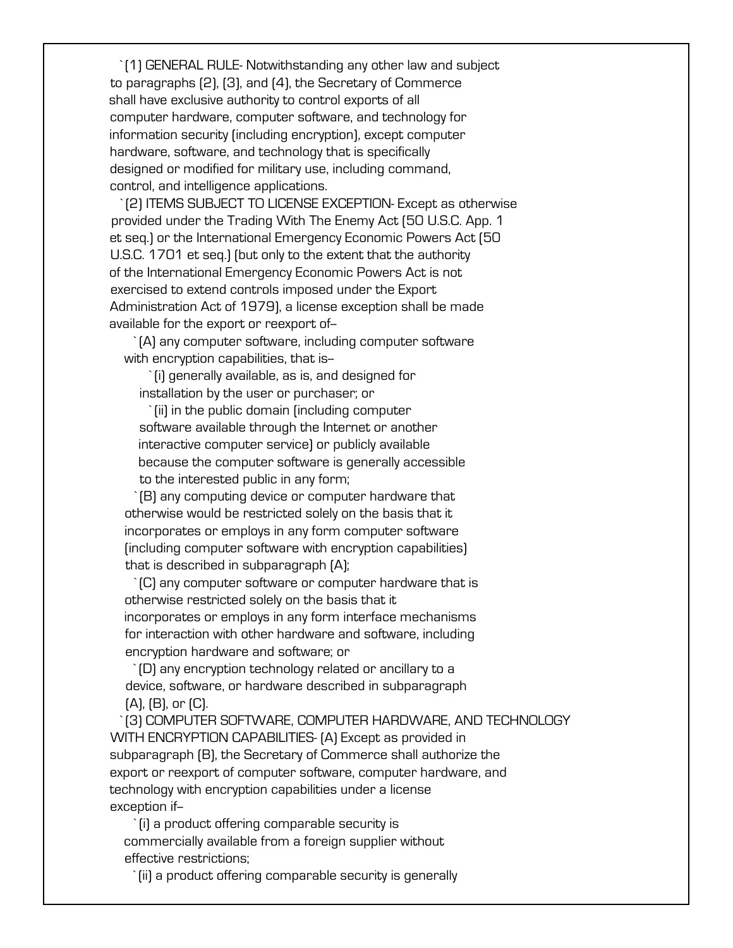`(1) GENERAL RULE- Notwithstanding any other law and subject to paragraphs (2), (3), and (4), the Secretary of Commerce shall have exclusive authority to control exports of all computer hardware, computer software, and technology for information security (including encryption), except computer hardware, software, and technology that is specifically designed or modified for military use, including command, control, and intelligence applications.

 `(2) ITEMS SUBJECT TO LICENSE EXCEPTION- Except as otherwise provided under the Trading With The Enemy Act (50 U.S.C. App. 1 et seq.) or the International Emergency Economic Powers Act (50 U.S.C. 1701 et seq.) (but only to the extent that the authority of the International Emergency Economic Powers Act is not exercised to extend controls imposed under the Export Administration Act of 1979), a license exception shall be made available for the export or reexport of--

 `(A) any computer software, including computer software with encryption capabilities, that is-

 `(i) generally available, as is, and designed for installation by the user or purchaser; or

 `(ii) in the public domain (including computer software available through the Internet or another interactive computer service) or publicly available because the computer software is generally accessible to the interested public in any form;

 `(B) any computing device or computer hardware that otherwise would be restricted solely on the basis that it incorporates or employs in any form computer software (including computer software with encryption capabilities) that is described in subparagraph (A);

 `(C) any computer software or computer hardware that is otherwise restricted solely on the basis that it incorporates or employs in any form interface mechanisms for interaction with other hardware and software, including encryption hardware and software; or

 `(D) any encryption technology related or ancillary to a device, software, or hardware described in subparagraph (A), (B), or (C).

 `(3) COMPUTER SOFTWARE, COMPUTER HARDWARE, AND TECHNOLOGY WITH ENCRYPTION CAPABILITIES- (A) Except as provided in subparagraph (B), the Secretary of Commerce shall authorize the export or reexport of computer software, computer hardware, and technology with encryption capabilities under a license exception if--

 `(i) a product offering comparable security is commercially available from a foreign supplier without effective restrictions;

`(ii) a product offering comparable security is generally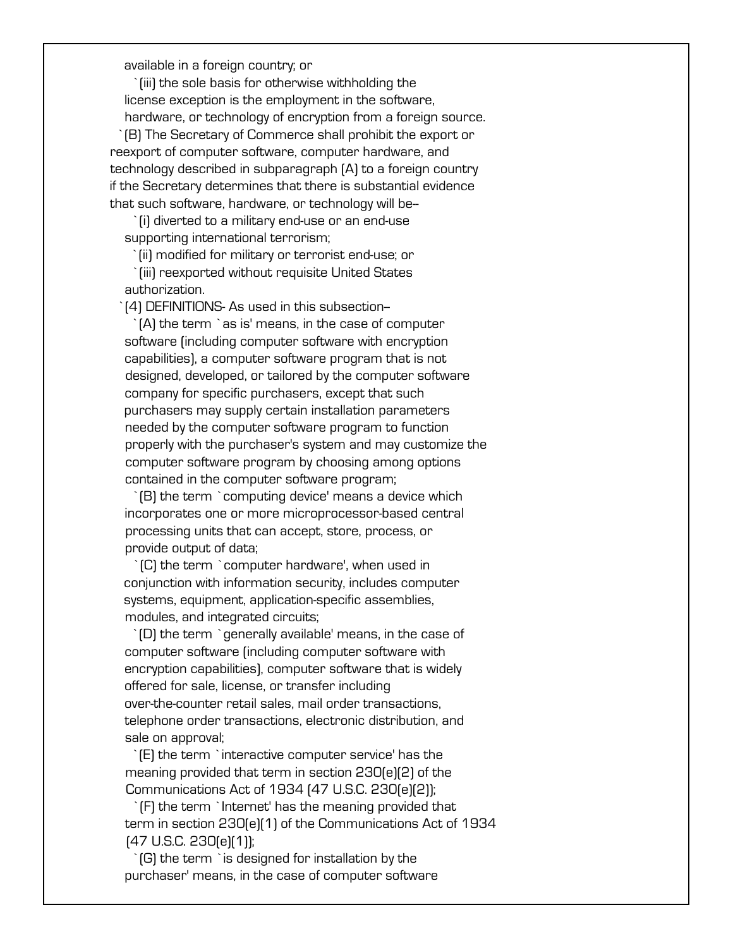available in a foreign country; or

(iii) the sole basis for otherwise withholding the license exception is the employment in the software, hardware, or technology of encryption from a foreign source. `(B) The Secretary of Commerce shall prohibit the export or reexport of computer software, computer hardware, and technology described in subparagraph (A) to a foreign country if the Secretary determines that there is substantial evidence that such software, hardware, or technology will be--

 `(i) diverted to a military end-use or an end-use supporting international terrorism;

`(ii) modified for military or terrorist end-use; or

 `(iii) reexported without requisite United States authorization.

`(4) DEFINITIONS- As used in this subsection--

 `(A) the term `as is' means, in the case of computer software (including computer software with encryption capabilities), a computer software program that is not designed, developed, or tailored by the computer software company for specific purchasers, except that such purchasers may supply certain installation parameters needed by the computer software program to function properly with the purchaser's system and may customize the computer software program by choosing among options contained in the computer software program;

 `(B) the term `computing device' means a device which incorporates one or more microprocessor-based central processing units that can accept, store, process, or provide output of data;

 `(C) the term `computer hardware', when used in conjunction with information security, includes computer systems, equipment, application-specific assemblies, modules, and integrated circuits;

 `(D) the term `generally available' means, in the case of computer software (including computer software with encryption capabilities), computer software that is widely offered for sale, license, or transfer including over-the-counter retail sales, mail order transactions, telephone order transactions, electronic distribution, and sale on approval;

 `(E) the term `interactive computer service' has the meaning provided that term in section 230(e)(2) of the Communications Act of 1934 (47 U.S.C. 230(e)(2));

 `(F) the term `Internet' has the meaning provided that term in section 230(e)(1) of the Communications Act of 1934 (47 U.S.C. 230(e)(1));

 `(G) the term `is designed for installation by the purchaser' means, in the case of computer software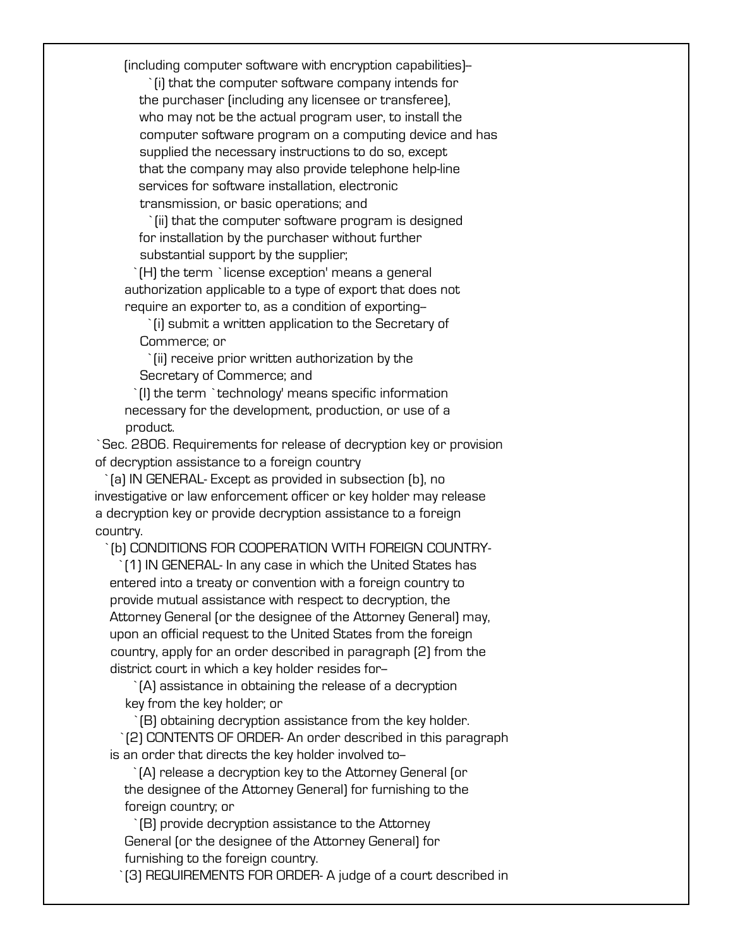(including computer software with encryption capabilities)--

 `(i) that the computer software company intends for the purchaser (including any licensee or transferee), who may not be the actual program user, to install the computer software program on a computing device and has supplied the necessary instructions to do so, except that the company may also provide telephone help-line services for software installation, electronic transmission, or basic operations; and

(ii) that the computer software program is designed for installation by the purchaser without further substantial support by the supplier;

 `(H) the term `license exception' means a general authorization applicable to a type of export that does not require an exporter to, as a condition of exporting--

 `(i) submit a written application to the Secretary of Commerce; or

 `(ii) receive prior written authorization by the Secretary of Commerce; and

 `(I) the term `technology' means specific information necessary for the development, production, or use of a product.

 `Sec. 2806. Requirements for release of decryption key or provision of decryption assistance to a foreign country

 `(a) IN GENERAL- Except as provided in subsection (b), no investigative or law enforcement officer or key holder may release a decryption key or provide decryption assistance to a foreign country.

`(b) CONDITIONS FOR COOPERATION WITH FOREIGN COUNTRY-

 `(1) IN GENERAL- In any case in which the United States has entered into a treaty or convention with a foreign country to provide mutual assistance with respect to decryption, the Attorney General (or the designee of the Attorney General) may, upon an official request to the United States from the foreign country, apply for an order described in paragraph (2) from the district court in which a key holder resides for-

 `(A) assistance in obtaining the release of a decryption key from the key holder; or

 `(B) obtaining decryption assistance from the key holder. `(2) CONTENTS OF ORDER- An order described in this paragraph is an order that directs the key holder involved to--

 `(A) release a decryption key to the Attorney General (or the designee of the Attorney General) for furnishing to the foreign country; or

 `(B) provide decryption assistance to the Attorney General (or the designee of the Attorney General) for furnishing to the foreign country.

`(3) REQUIREMENTS FOR ORDER- A judge of a court described in